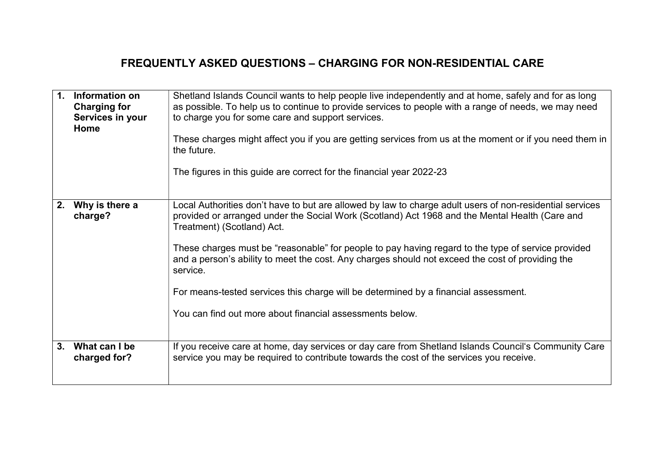## FREQUENTLY ASKED QUESTIONS – CHARGING FOR NON-RESIDENTIAL CARE

| $\mathbf{1}$ . | Information on<br><b>Charging for</b><br>Services in your<br><b>Home</b> | Shetland Islands Council wants to help people live independently and at home, safely and for as long<br>as possible. To help us to continue to provide services to people with a range of needs, we may need<br>to charge you for some care and support services.<br>These charges might affect you if you are getting services from us at the moment or if you need them in<br>the future.<br>The figures in this guide are correct for the financial year 2022-23                                                                                                                                               |
|----------------|--------------------------------------------------------------------------|-------------------------------------------------------------------------------------------------------------------------------------------------------------------------------------------------------------------------------------------------------------------------------------------------------------------------------------------------------------------------------------------------------------------------------------------------------------------------------------------------------------------------------------------------------------------------------------------------------------------|
| 2.             | Why is there a<br>charge?                                                | Local Authorities don't have to but are allowed by law to charge adult users of non-residential services<br>provided or arranged under the Social Work (Scotland) Act 1968 and the Mental Health (Care and<br>Treatment) (Scotland) Act.<br>These charges must be "reasonable" for people to pay having regard to the type of service provided<br>and a person's ability to meet the cost. Any charges should not exceed the cost of providing the<br>service.<br>For means-tested services this charge will be determined by a financial assessment.<br>You can find out more about financial assessments below. |
| 3.             | What can I be<br>charged for?                                            | If you receive care at home, day services or day care from Shetland Islands Council's Community Care<br>service you may be required to contribute towards the cost of the services you receive.                                                                                                                                                                                                                                                                                                                                                                                                                   |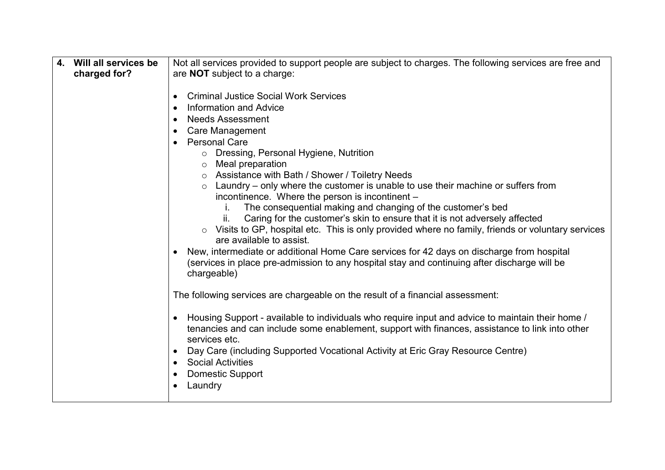| Will all services be<br>4. | Not all services provided to support people are subject to charges. The following services are free and                                                                                                                                                                                                                                                                                                                                                                                                                                                                                                                                                                                                                                             |  |  |  |
|----------------------------|-----------------------------------------------------------------------------------------------------------------------------------------------------------------------------------------------------------------------------------------------------------------------------------------------------------------------------------------------------------------------------------------------------------------------------------------------------------------------------------------------------------------------------------------------------------------------------------------------------------------------------------------------------------------------------------------------------------------------------------------------------|--|--|--|
| charged for?               | are <b>NOT</b> subject to a charge:                                                                                                                                                                                                                                                                                                                                                                                                                                                                                                                                                                                                                                                                                                                 |  |  |  |
|                            | <b>Criminal Justice Social Work Services</b><br>$\bullet$<br><b>Information and Advice</b><br>$\bullet$<br><b>Needs Assessment</b><br>$\bullet$<br><b>Care Management</b><br>$\bullet$<br><b>Personal Care</b><br>○ Dressing, Personal Hygiene, Nutrition<br>Meal preparation<br>$\circ$<br>○ Assistance with Bath / Shower / Toiletry Needs<br>$\circ$ Laundry – only where the customer is unable to use their machine or suffers from<br>incontinence. Where the person is incontinent -<br>The consequential making and changing of the customer's bed<br>Caring for the customer's skin to ensure that it is not adversely affected<br>ii.<br>Visits to GP, hospital etc. This is only provided where no family, friends or voluntary services |  |  |  |
|                            | are available to assist.<br>New, intermediate or additional Home Care services for 42 days on discharge from hospital<br>(services in place pre-admission to any hospital stay and continuing after discharge will be<br>chargeable)                                                                                                                                                                                                                                                                                                                                                                                                                                                                                                                |  |  |  |
|                            | The following services are chargeable on the result of a financial assessment:                                                                                                                                                                                                                                                                                                                                                                                                                                                                                                                                                                                                                                                                      |  |  |  |
|                            | Housing Support - available to individuals who require input and advice to maintain their home /<br>$\bullet$<br>tenancies and can include some enablement, support with finances, assistance to link into other<br>services etc.<br>Day Care (including Supported Vocational Activity at Eric Gray Resource Centre)<br>$\bullet$                                                                                                                                                                                                                                                                                                                                                                                                                   |  |  |  |
|                            | <b>Social Activities</b><br>$\bullet$<br><b>Domestic Support</b><br>$\bullet$<br>Laundry<br>$\bullet$                                                                                                                                                                                                                                                                                                                                                                                                                                                                                                                                                                                                                                               |  |  |  |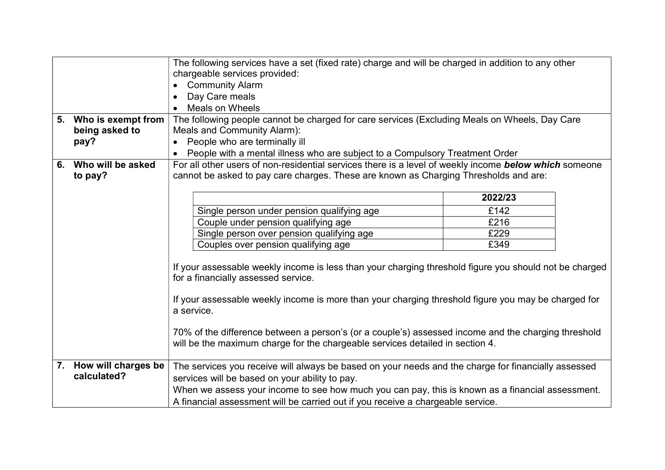|                        | The following services have a set (fixed rate) charge and will be charged in addition to any other                                                                                                                                                                                                                                                                                                                                                         |         |  |  |
|------------------------|------------------------------------------------------------------------------------------------------------------------------------------------------------------------------------------------------------------------------------------------------------------------------------------------------------------------------------------------------------------------------------------------------------------------------------------------------------|---------|--|--|
|                        | chargeable services provided:                                                                                                                                                                                                                                                                                                                                                                                                                              |         |  |  |
|                        | <b>Community Alarm</b>                                                                                                                                                                                                                                                                                                                                                                                                                                     |         |  |  |
|                        | Day Care meals                                                                                                                                                                                                                                                                                                                                                                                                                                             |         |  |  |
|                        | <b>Meals on Wheels</b>                                                                                                                                                                                                                                                                                                                                                                                                                                     |         |  |  |
| 5. Who is exempt from  | The following people cannot be charged for care services (Excluding Meals on Wheels, Day Care                                                                                                                                                                                                                                                                                                                                                              |         |  |  |
| being asked to         | Meals and Community Alarm):                                                                                                                                                                                                                                                                                                                                                                                                                                |         |  |  |
| pay?                   | People who are terminally ill                                                                                                                                                                                                                                                                                                                                                                                                                              |         |  |  |
|                        | People with a mental illness who are subject to a Compulsory Treatment Order                                                                                                                                                                                                                                                                                                                                                                               |         |  |  |
| 6. Who will be asked   | For all other users of non-residential services there is a level of weekly income below which someone                                                                                                                                                                                                                                                                                                                                                      |         |  |  |
| to pay?                | cannot be asked to pay care charges. These are known as Charging Thresholds and are:                                                                                                                                                                                                                                                                                                                                                                       |         |  |  |
|                        |                                                                                                                                                                                                                                                                                                                                                                                                                                                            |         |  |  |
|                        |                                                                                                                                                                                                                                                                                                                                                                                                                                                            | 2022/23 |  |  |
|                        | Single person under pension qualifying age                                                                                                                                                                                                                                                                                                                                                                                                                 | £142    |  |  |
|                        | Couple under pension qualifying age                                                                                                                                                                                                                                                                                                                                                                                                                        | £216    |  |  |
|                        | Single person over pension qualifying age                                                                                                                                                                                                                                                                                                                                                                                                                  | £229    |  |  |
|                        | £349<br>Couples over pension qualifying age                                                                                                                                                                                                                                                                                                                                                                                                                |         |  |  |
|                        | If your assessable weekly income is less than your charging threshold figure you should not be charged<br>for a financially assessed service.<br>If your assessable weekly income is more than your charging threshold figure you may be charged for<br>a service.<br>70% of the difference between a person's (or a couple's) assessed income and the charging threshold<br>will be the maximum charge for the chargeable services detailed in section 4. |         |  |  |
| 7. How will charges be | The services you receive will always be based on your needs and the charge for financially assessed                                                                                                                                                                                                                                                                                                                                                        |         |  |  |
| calculated?            | services will be based on your ability to pay.                                                                                                                                                                                                                                                                                                                                                                                                             |         |  |  |
|                        | When we assess your income to see how much you can pay, this is known as a financial assessment.                                                                                                                                                                                                                                                                                                                                                           |         |  |  |
|                        | A financial assessment will be carried out if you receive a chargeable service.                                                                                                                                                                                                                                                                                                                                                                            |         |  |  |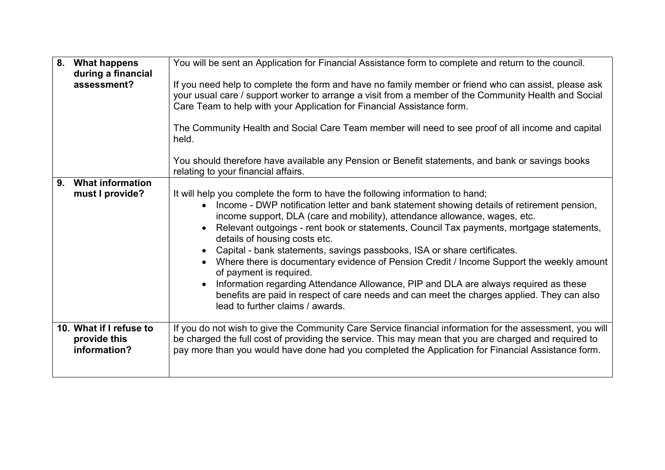| 8.             | <b>What happens</b><br>during a financial               | You will be sent an Application for Financial Assistance form to complete and return to the council.                                                                                                                                                                                                                                                                                                                                                                                                                                                                                                                                                                                                                                            |
|----------------|---------------------------------------------------------|-------------------------------------------------------------------------------------------------------------------------------------------------------------------------------------------------------------------------------------------------------------------------------------------------------------------------------------------------------------------------------------------------------------------------------------------------------------------------------------------------------------------------------------------------------------------------------------------------------------------------------------------------------------------------------------------------------------------------------------------------|
|                | assessment?                                             | If you need help to complete the form and have no family member or friend who can assist, please ask<br>your usual care / support worker to arrange a visit from a member of the Community Health and Social<br>Care Team to help with your Application for Financial Assistance form.                                                                                                                                                                                                                                                                                                                                                                                                                                                          |
|                |                                                         | The Community Health and Social Care Team member will need to see proof of all income and capital<br>held.                                                                                                                                                                                                                                                                                                                                                                                                                                                                                                                                                                                                                                      |
|                |                                                         | You should therefore have available any Pension or Benefit statements, and bank or savings books<br>relating to your financial affairs.                                                                                                                                                                                                                                                                                                                                                                                                                                                                                                                                                                                                         |
| 9 <sub>1</sub> | <b>What information</b><br>must I provide?              | It will help you complete the form to have the following information to hand;                                                                                                                                                                                                                                                                                                                                                                                                                                                                                                                                                                                                                                                                   |
|                |                                                         | Income - DWP notification letter and bank statement showing details of retirement pension,<br>$\bullet$<br>income support, DLA (care and mobility), attendance allowance, wages, etc.<br>Relevant outgoings - rent book or statements, Council Tax payments, mortgage statements,<br>details of housing costs etc.<br>Capital - bank statements, savings passbooks, ISA or share certificates.<br>Where there is documentary evidence of Pension Credit / Income Support the weekly amount<br>of payment is required.<br>Information regarding Attendance Allowance, PIP and DLA are always required as these<br>benefits are paid in respect of care needs and can meet the charges applied. They can also<br>lead to further claims / awards. |
|                | 10. What if I refuse to<br>provide this<br>information? | If you do not wish to give the Community Care Service financial information for the assessment, you will<br>be charged the full cost of providing the service. This may mean that you are charged and required to<br>pay more than you would have done had you completed the Application for Financial Assistance form.                                                                                                                                                                                                                                                                                                                                                                                                                         |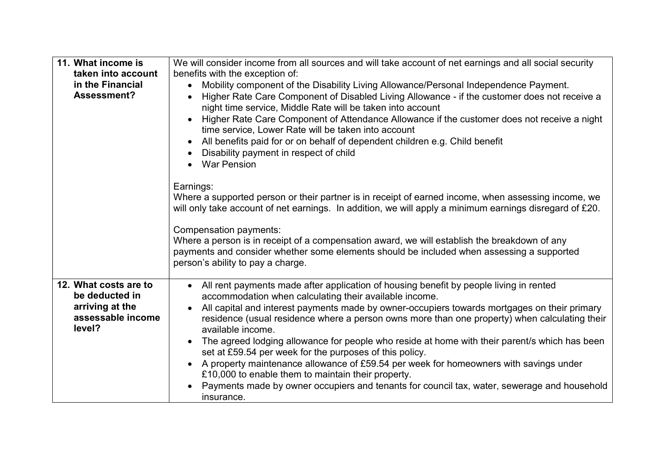| We will consider income from all sources and will take account of net earnings and all social security                                                                                                             |  |  |  |
|--------------------------------------------------------------------------------------------------------------------------------------------------------------------------------------------------------------------|--|--|--|
| benefits with the exception of:                                                                                                                                                                                    |  |  |  |
| Mobility component of the Disability Living Allowance/Personal Independence Payment.<br>$\bullet$                                                                                                                  |  |  |  |
| Higher Rate Care Component of Disabled Living Allowance - if the customer does not receive a<br>night time service, Middle Rate will be taken into account                                                         |  |  |  |
| Higher Rate Care Component of Attendance Allowance if the customer does not receive a night<br>time service, Lower Rate will be taken into account                                                                 |  |  |  |
| All benefits paid for or on behalf of dependent children e.g. Child benefit<br>$\bullet$                                                                                                                           |  |  |  |
| Disability payment in respect of child                                                                                                                                                                             |  |  |  |
| War Pension                                                                                                                                                                                                        |  |  |  |
|                                                                                                                                                                                                                    |  |  |  |
| Earnings:<br>Where a supported person or their partner is in receipt of earned income, when assessing income, we                                                                                                   |  |  |  |
| will only take account of net earnings. In addition, we will apply a minimum earnings disregard of £20.                                                                                                            |  |  |  |
|                                                                                                                                                                                                                    |  |  |  |
| Compensation payments:                                                                                                                                                                                             |  |  |  |
| Where a person is in receipt of a compensation award, we will establish the breakdown of any<br>payments and consider whether some elements should be included when assessing a supported                          |  |  |  |
| person's ability to pay a charge.                                                                                                                                                                                  |  |  |  |
|                                                                                                                                                                                                                    |  |  |  |
| All rent payments made after application of housing benefit by people living in rented<br>$\bullet$<br>accommodation when calculating their available income.                                                      |  |  |  |
| All capital and interest payments made by owner-occupiers towards mortgages on their primary<br>residence (usual residence where a person owns more than one property) when calculating their<br>available income. |  |  |  |
| The agreed lodging allowance for people who reside at home with their parent/s which has been<br>$\bullet$<br>set at £59.54 per week for the purposes of this policy.                                              |  |  |  |
| A property maintenance allowance of £59.54 per week for homeowners with savings under<br>£10,000 to enable them to maintain their property.                                                                        |  |  |  |
| Payments made by owner occupiers and tenants for council tax, water, sewerage and household                                                                                                                        |  |  |  |
| insurance.                                                                                                                                                                                                         |  |  |  |
|                                                                                                                                                                                                                    |  |  |  |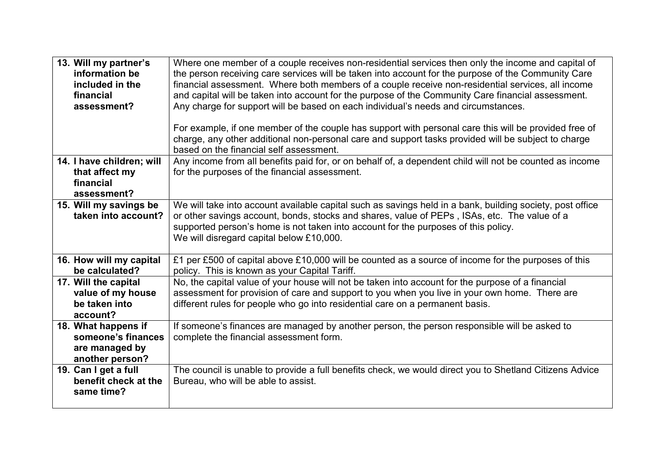| 13. Will my partner's<br>information be<br>included in the<br>financial<br>assessment? | Where one member of a couple receives non-residential services then only the income and capital of<br>the person receiving care services will be taken into account for the purpose of the Community Care<br>financial assessment. Where both members of a couple receive non-residential services, all income<br>and capital will be taken into account for the purpose of the Community Care financial assessment.<br>Any charge for support will be based on each individual's needs and circumstances.<br>For example, if one member of the couple has support with personal care this will be provided free of<br>charge, any other additional non-personal care and support tasks provided will be subject to charge<br>based on the financial self assessment. |
|----------------------------------------------------------------------------------------|-----------------------------------------------------------------------------------------------------------------------------------------------------------------------------------------------------------------------------------------------------------------------------------------------------------------------------------------------------------------------------------------------------------------------------------------------------------------------------------------------------------------------------------------------------------------------------------------------------------------------------------------------------------------------------------------------------------------------------------------------------------------------|
| 14. I have children; will<br>that affect my<br>financial<br>assessment?                | Any income from all benefits paid for, or on behalf of, a dependent child will not be counted as income<br>for the purposes of the financial assessment.                                                                                                                                                                                                                                                                                                                                                                                                                                                                                                                                                                                                              |
| 15. Will my savings be<br>taken into account?                                          | We will take into account available capital such as savings held in a bank, building society, post office<br>or other savings account, bonds, stocks and shares, value of PEPs, ISAs, etc. The value of a<br>supported person's home is not taken into account for the purposes of this policy.<br>We will disregard capital below £10,000.                                                                                                                                                                                                                                                                                                                                                                                                                           |
| 16. How will my capital<br>be calculated?                                              | £1 per £500 of capital above £10,000 will be counted as a source of income for the purposes of this<br>policy. This is known as your Capital Tariff.                                                                                                                                                                                                                                                                                                                                                                                                                                                                                                                                                                                                                  |
| 17. Will the capital<br>value of my house<br>be taken into<br>account?                 | No, the capital value of your house will not be taken into account for the purpose of a financial<br>assessment for provision of care and support to you when you live in your own home. There are<br>different rules for people who go into residential care on a permanent basis.                                                                                                                                                                                                                                                                                                                                                                                                                                                                                   |
| 18. What happens if<br>someone's finances<br>are managed by<br>another person?         | If someone's finances are managed by another person, the person responsible will be asked to<br>complete the financial assessment form.                                                                                                                                                                                                                                                                                                                                                                                                                                                                                                                                                                                                                               |
| 19. Can I get a full<br>benefit check at the<br>same time?                             | The council is unable to provide a full benefits check, we would direct you to Shetland Citizens Advice<br>Bureau, who will be able to assist.                                                                                                                                                                                                                                                                                                                                                                                                                                                                                                                                                                                                                        |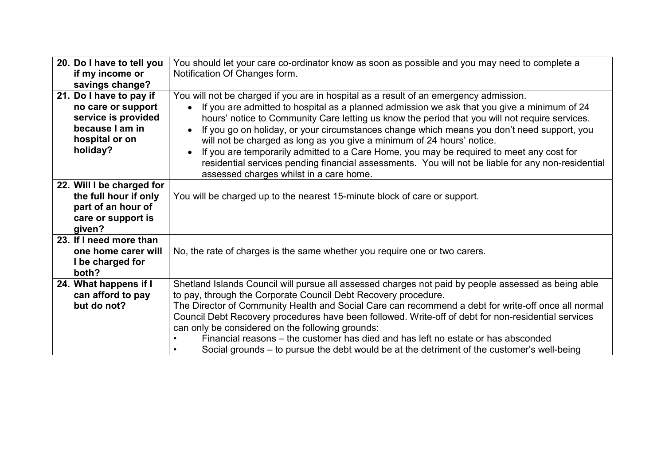| 20. Do I have to tell you | You should let your care co-ordinator know as soon as possible and you may need to complete a            |  |  |
|---------------------------|----------------------------------------------------------------------------------------------------------|--|--|
| if my income or           | Notification Of Changes form.                                                                            |  |  |
| savings change?           |                                                                                                          |  |  |
| 21. Do I have to pay if   | You will not be charged if you are in hospital as a result of an emergency admission.                    |  |  |
| no care or support        | If you are admitted to hospital as a planned admission we ask that you give a minimum of 24<br>$\bullet$ |  |  |
| service is provided       | hours' notice to Community Care letting us know the period that you will not require services.           |  |  |
| because I am in           | If you go on holiday, or your circumstances change which means you don't need support, you<br>$\bullet$  |  |  |
| hospital or on            | will not be charged as long as you give a minimum of 24 hours' notice.                                   |  |  |
| holiday?                  | If you are temporarily admitted to a Care Home, you may be required to meet any cost for                 |  |  |
|                           | residential services pending financial assessments. You will not be liable for any non-residential       |  |  |
|                           | assessed charges whilst in a care home.                                                                  |  |  |
| 22. Will I be charged for |                                                                                                          |  |  |
| the full hour if only     | You will be charged up to the nearest 15-minute block of care or support.                                |  |  |
| part of an hour of        |                                                                                                          |  |  |
| care or support is        |                                                                                                          |  |  |
| given?                    |                                                                                                          |  |  |
| 23. If I need more than   |                                                                                                          |  |  |
| one home carer will       | No, the rate of charges is the same whether you require one or two carers.                               |  |  |
| I be charged for          |                                                                                                          |  |  |
| both?                     |                                                                                                          |  |  |
| 24. What happens if I     | Shetland Islands Council will pursue all assessed charges not paid by people assessed as being able      |  |  |
| can afford to pay         | to pay, through the Corporate Council Debt Recovery procedure.                                           |  |  |
| but do not?               | The Director of Community Health and Social Care can recommend a debt for write-off once all normal      |  |  |
|                           | Council Debt Recovery procedures have been followed. Write-off of debt for non-residential services      |  |  |
|                           | can only be considered on the following grounds:                                                         |  |  |
|                           | Financial reasons – the customer has died and has left no estate or has absconded                        |  |  |
|                           | Social grounds – to pursue the debt would be at the detriment of the customer's well-being               |  |  |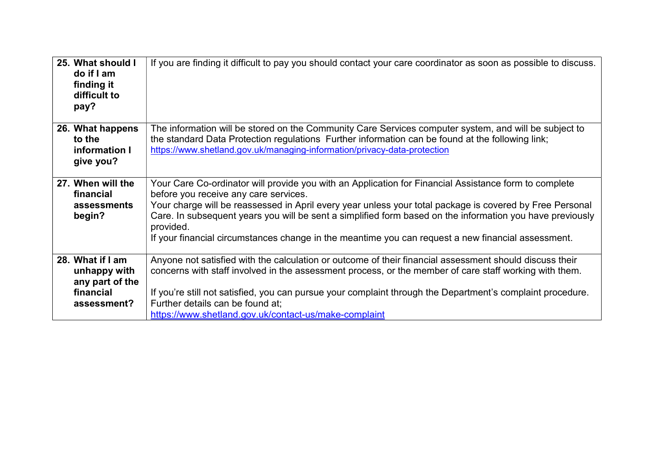| 25. What should I<br>do if I am<br>finding it<br>difficult to<br>pay?           | If you are finding it difficult to pay you should contact your care coordinator as soon as possible to discuss.                                                                                                                                                                                                                                                                                                                                                                            |
|---------------------------------------------------------------------------------|--------------------------------------------------------------------------------------------------------------------------------------------------------------------------------------------------------------------------------------------------------------------------------------------------------------------------------------------------------------------------------------------------------------------------------------------------------------------------------------------|
| 26. What happens<br>to the<br>information I<br>give you?                        | The information will be stored on the Community Care Services computer system, and will be subject to<br>the standard Data Protection regulations Further information can be found at the following link;<br>https://www.shetland.gov.uk/managing-information/privacy-data-protection                                                                                                                                                                                                      |
| 27. When will the<br>financial<br>assessments<br>begin?                         | Your Care Co-ordinator will provide you with an Application for Financial Assistance form to complete<br>before you receive any care services.<br>Your charge will be reassessed in April every year unless your total package is covered by Free Personal<br>Care. In subsequent years you will be sent a simplified form based on the information you have previously<br>provided.<br>If your financial circumstances change in the meantime you can request a new financial assessment. |
| 28. What if I am<br>unhappy with<br>any part of the<br>financial<br>assessment? | Anyone not satisfied with the calculation or outcome of their financial assessment should discuss their<br>concerns with staff involved in the assessment process, or the member of care staff working with them.<br>If you're still not satisfied, you can pursue your complaint through the Department's complaint procedure.<br>Further details can be found at:<br>https://www.shetland.gov.uk/contact-us/make-complaint                                                               |